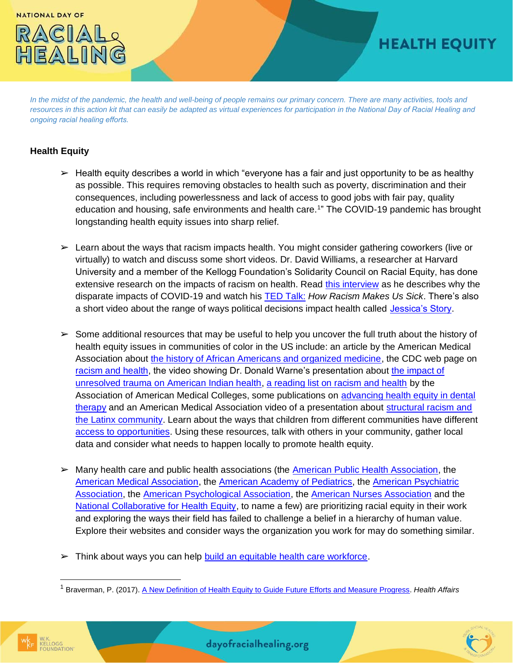

## **HEALTH EQUITY**

*In the midst of the pandemic, the health and well-being of people remains our primary concern. There are many activities, tools and resources in this action kit that can easily be adapted as virtual experiences for participation in the National Day of Racial Healing and ongoing racial healing efforts.*

## **Health Equity**

- $\triangleright$  Health equity describes a world in which "everyone has a fair and just opportunity to be as healthy as possible. This requires removing obstacles to health such as poverty, discrimination and their consequences, including powerlessness and lack of access to good jobs with fair pay, quality education and housing, safe environments and health care.<sup>1</sup>" The COVID-19 pandemic has brought longstanding health equity issues into sharp relief.
- $\triangleright$  Learn about the ways that racism impacts health. You might consider gathering coworkers (live or virtually) to watch and discuss some short videos. Dr. David Williams, a researcher at Harvard University and a member of the Kellogg Foundation's Solidarity Council on Racial Equity, has done extensive research on the impacts of racism on health. Read [this interview](https://everychildthrives.com/a-wider-lens-on-the-impact-of-covid-19/) as he describes why the disparate impacts of COVID-19 and watch his [TED Talk:](https://www.youtube.com/watch?v=VzyjDR_AWzE) *How Racism Makes Us Sick*. There's also a short video about the range of ways political decisions impact health called [Jessica's Story.](https://youtu.be/G54x6Y-aJvE)
- $\geq$  Some additional resources that may be useful to help you uncover the full truth about the history of health equity issues in communities of color in the US include: an article by the American Medical Association about [the history of African Americans and organized medicine,](https://www.ama-assn.org/about/ama-history/history-african-americans-and-organized-medicine) the CDC web page on [racism and health,](https://www.cdc.gov/healthequity/racism-disparities/index.html) the video showing Dr. Donald Warne's presentation about [the impact of](https://www.medicalnewstoday.com/articles/the-impact-of-historical-trauma-on-american-indian-health-equity#The-historical-context:-almost-a-complete-genocide) [unresolved trauma on American Indian health,](https://www.medicalnewstoday.com/articles/the-impact-of-historical-trauma-on-american-indian-health-equity#The-historical-context:-almost-a-complete-genocide) [a reading list on racism and health](https://www.aamc.org/news-insights/racism-and-health-reading-list) by the Association of American Medical Colleges, some publications on [advancing health equity in dental](https://everychildthrives.com/dental-therapists-in-the-united-states-advancing-health-equity/) [therapy](https://everychildthrives.com/dental-therapists-in-the-united-states-advancing-health-equity/) and an American Medical Association video of a presentation about [structural racism and](https://www.ama-assn.org/delivering-care/population-care/prioritizing-equity-video-series-structural-racism-and-latinx) [the Latinx community.](https://www.ama-assn.org/delivering-care/population-care/prioritizing-equity-video-series-structural-racism-and-latinx) Learn about the ways that children from different communities have different [access to opportunities.](https://www.diversitydatakids.org/child-opportunity-index) Using these resources, talk with others in your community, gather local data and consider what needs to happen locally to promote health equity.
- ➢ Many health care and public health associations (the [American Public Health Association,](https://www.apha.org/topics-and-issues/health-equity/racism-and-health) the [American Medical Association,](https://www.ama-assn.org/delivering-care/health-equity/ama-racism-threat-public-health) the [American Academy of Pediatrics,](https://www.aappublications.org/news/2020/06/01/racism060120) th[e American Psychiatric](https://www.psychiatry.org/newsroom/apa-apology-for-its-support-of-structural-racism-in-psychiatry) [Association,](https://www.psychiatry.org/newsroom/apa-apology-for-its-support-of-structural-racism-in-psychiatry) the [American Psychological Association,](https://www.apa.org/about/policy/racism-apology) the [American Nurses Association](https://www.nursingworld.org/news/news-releases/2020/ana-calls-for-racial-justice-for-communities-of-color/) and the [National Collaborative for Health Equity,](https://www.nationalcollaborative.org/) to name a few) are prioritizing racial equity in their work and exploring the ways their field has failed to challenge a belief in a hierarchy of human value. Explore their websites and consider ways the organization you work for may do something similar.
- ► Think about ways you can help [build an equitable health care workforce.](https://everychildthrives.com/building-a-more-equitable-health-care-workforce/)

<sup>1</sup> Braverman, P. (2017)[. A New Definition of Health Equity to Guide Future Efforts and Measure Progress.](https://www.healthaffairs.org/do/10.1377/hblog20170622.060710/full/) *Health Affairs*